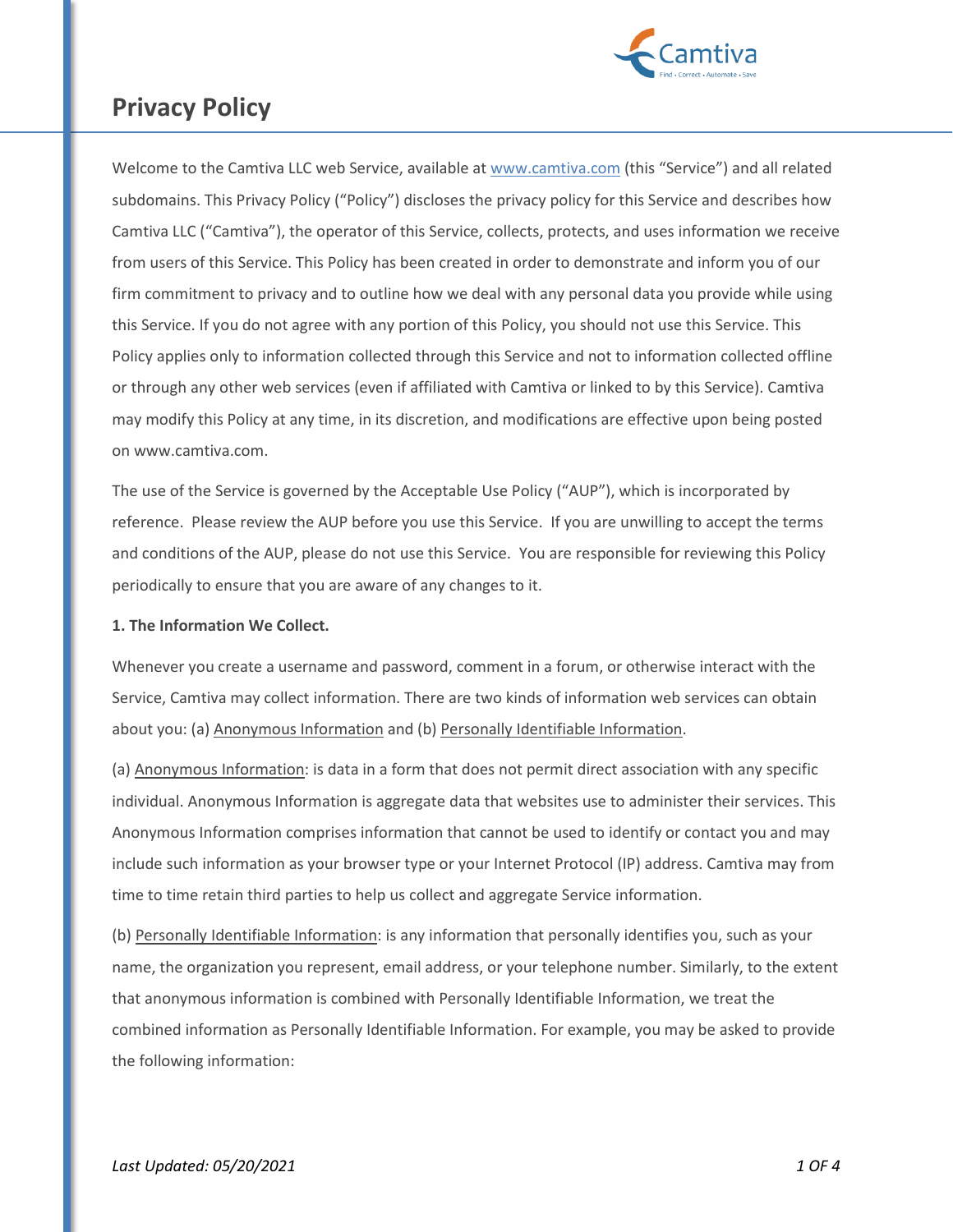

Welcome to the Camtiva LLC web Service, available at [www.camtiva.com](http://www.camtiva.com/) (this "Service") and all related subdomains. This Privacy Policy ("Policy") discloses the privacy policy for this Service and describes how Camtiva LLC ("Camtiva"), the operator of this Service, collects, protects, and uses information we receive from users of this Service. This Policy has been created in order to demonstrate and inform you of our firm commitment to privacy and to outline how we deal with any personal data you provide while using this Service. If you do not agree with any portion of this Policy, you should not use this Service. This Policy applies only to information collected through this Service and not to information collected offline or through any other web services (even if affiliated with Camtiva or linked to by this Service). Camtiva may modify this Policy at any time, in its discretion, and modifications are effective upon being posted on www.camtiva.com.

The use of the Service is governed by the Acceptable Use Policy ("AUP"), which is incorporated by reference. Please review the AUP before you use this Service. If you are unwilling to accept the terms and conditions of the AUP, please do not use this Service. You are responsible for reviewing this Policy periodically to ensure that you are aware of any changes to it.

### **1. The Information We Collect.**

Whenever you create a username and password, comment in a forum, or otherwise interact with the Service, Camtiva may collect information. There are two kinds of information web services can obtain about you: (a) Anonymous Information and (b) Personally Identifiable Information.

(a) Anonymous Information: is data in a form that does not permit direct association with any specific individual. Anonymous Information is aggregate data that websites use to administer their services. This Anonymous Information comprises information that cannot be used to identify or contact you and may include such information as your browser type or your Internet Protocol (IP) address. Camtiva may from time to time retain third parties to help us collect and aggregate Service information.

(b) Personally Identifiable Information: is any information that personally identifies you, such as your name, the organization you represent, email address, or your telephone number. Similarly, to the extent that anonymous information is combined with Personally Identifiable Information, we treat the combined information as Personally Identifiable Information. For example, you may be asked to provide the following information: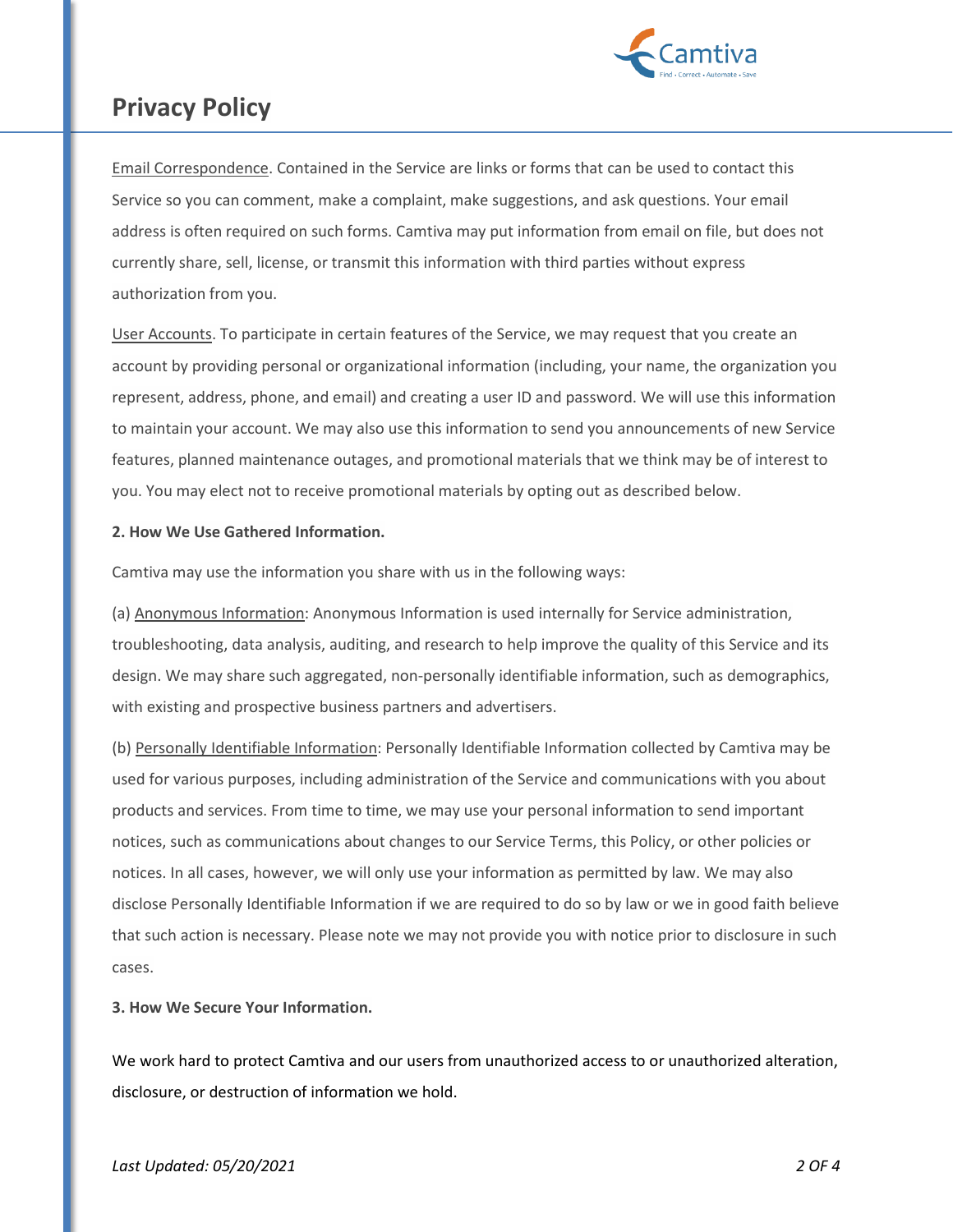

Email Correspondence. Contained in the Service are links or forms that can be used to contact this Service so you can comment, make a complaint, make suggestions, and ask questions. Your email address is often required on such forms. Camtiva may put information from email on file, but does not currently share, sell, license, or transmit this information with third parties without express authorization from you.

User Accounts. To participate in certain features of the Service, we may request that you create an account by providing personal or organizational information (including, your name, the organization you represent, address, phone, and email) and creating a user ID and password. We will use this information to maintain your account. We may also use this information to send you announcements of new Service features, planned maintenance outages, and promotional materials that we think may be of interest to you. You may elect not to receive promotional materials by opting out as described below.

#### **2. How We Use Gathered Information.**

Camtiva may use the information you share with us in the following ways:

(a) Anonymous Information: Anonymous Information is used internally for Service administration, troubleshooting, data analysis, auditing, and research to help improve the quality of this Service and its design. We may share such aggregated, non-personally identifiable information, such as demographics, with existing and prospective business partners and advertisers.

(b) Personally Identifiable Information: Personally Identifiable Information collected by Camtiva may be used for various purposes, including administration of the Service and communications with you about products and services. From time to time, we may use your personal information to send important notices, such as communications about changes to our Service Terms, this Policy, or other policies or notices. In all cases, however, we will only use your information as permitted by law. We may also disclose Personally Identifiable Information if we are required to do so by law or we in good faith believe that such action is necessary. Please note we may not provide you with notice prior to disclosure in such cases.

**3. How We Secure Your Information.**

We work hard to protect Camtiva and our users from unauthorized access to or unauthorized alteration, disclosure, or destruction of information we hold.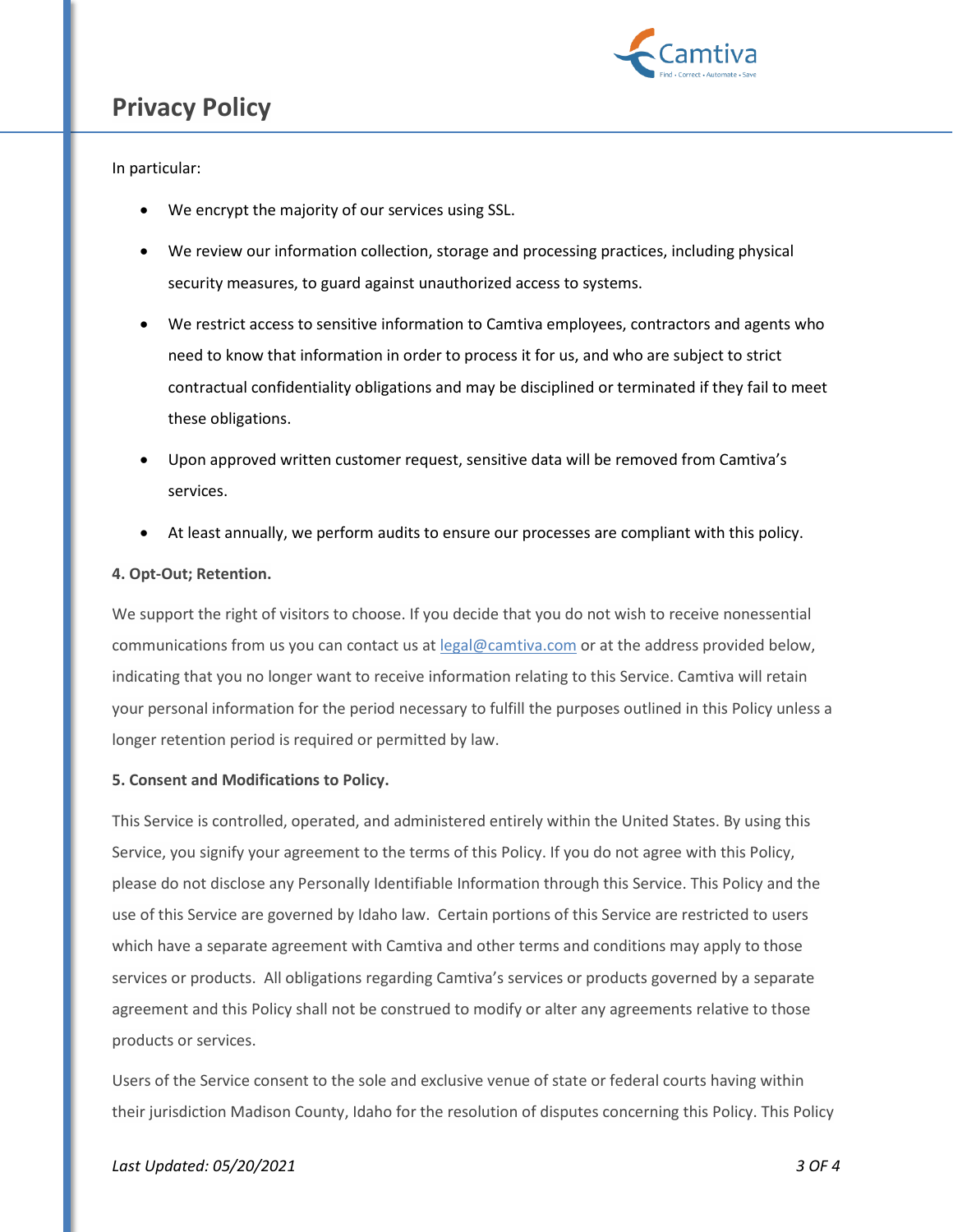

### In particular:

- We encrypt the majority of our services using SSL.
- We review our information collection, storage and processing practices, including physical security measures, to guard against unauthorized access to systems.
- We restrict access to sensitive information to Camtiva employees, contractors and agents who need to know that information in order to process it for us, and who are subject to strict contractual confidentiality obligations and may be disciplined or terminated if they fail to meet these obligations.
- Upon approved written customer request, sensitive data will be removed from Camtiva's services.
- At least annually, we perform audits to ensure our processes are compliant with this policy.

#### **4. Opt-Out; Retention.**

We support the right of visitors to choose. If you decide that you do not wish to receive nonessential communications from us you can contact us a[t legal@camtiva.com](mailto:legal@camtiva.com) or at the address provided below, indicating that you no longer want to receive information relating to this Service. Camtiva will retain your personal information for the period necessary to fulfill the purposes outlined in this Policy unless a longer retention period is required or permitted by law.

#### **5. Consent and Modifications to Policy.**

This Service is controlled, operated, and administered entirely within the United States. By using this Service, you signify your agreement to the terms of this Policy. If you do not agree with this Policy, please do not disclose any Personally Identifiable Information through this Service. This Policy and the use of this Service are governed by Idaho law. Certain portions of this Service are restricted to users which have a separate agreement with Camtiva and other terms and conditions may apply to those services or products. All obligations regarding Camtiva's services or products governed by a separate agreement and this Policy shall not be construed to modify or alter any agreements relative to those products or services.

Users of the Service consent to the sole and exclusive venue of state or federal courts having within their jurisdiction Madison County, Idaho for the resolution of disputes concerning this Policy. This Policy